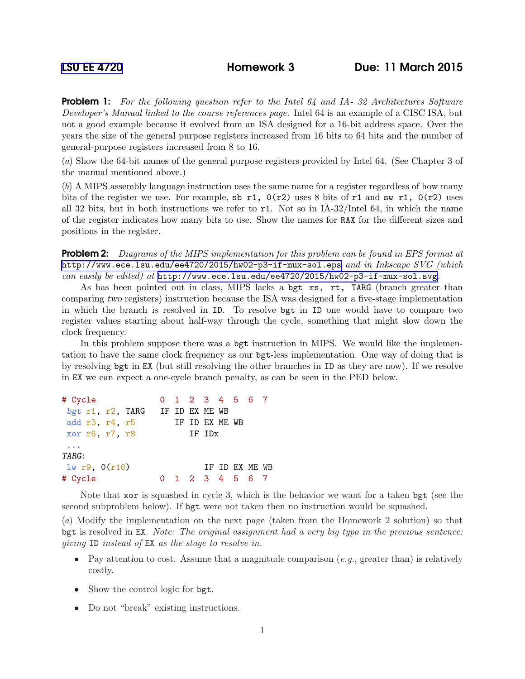Problem 1: *For the following question refer to the Intel 64 and IA- 32 Architectures Software Developer's Manual linked to the course references page.* Intel 64 is an example of a CISC ISA, but not a good example because it evolved from an ISA designed for a 16-bit address space. Over the years the size of the general purpose registers increased from 16 bits to 64 bits and the number of general-purpose registers increased from 8 to 16.

(*a*) Show the 64-bit names of the general purpose registers provided by Intel 64. (See Chapter 3 of the manual mentioned above.)

(*b*) A MIPS assembly language instruction uses the same name for a register regardless of how many bits of the register we use. For example, sb r1,  $0(r2)$  uses 8 bits of r1 and sw r1,  $0(r2)$  uses all 32 bits, but in both instructions we refer to r1. Not so in IA-32/Intel 64, in which the name of the register indicates how many bits to use. Show the names for RAX for the different sizes and positions in the register.

Problem 2: *Diagrams of the MIPS implementation for this problem can be found in EPS format at* <http://www.ece.lsu.edu/ee4720/2015/hw02-p3-if-mux-sol.eps> *and in Inkscape SVG (which can easily be edited) at* <http://www.ece.lsu.edu/ee4720/2015/hw02-p3-if-mux-sol.svg>*.*

As has been pointed out in class, MIPS lacks a bgt rs, rt, TARG (branch greater than comparing two registers) instruction because the ISA was designed for a five-stage implementation in which the branch is resolved in ID. To resolve bgt in ID one would have to compare two register values starting about half-way through the cycle, something that might slow down the clock frequency.

In this problem suppose there was a bgt instruction in MIPS. We would like the implementation to have the same clock frequency as our bgt-less implementation. One way of doing that is by resolving bgt in EX (but still resolving the other branches in ID as they are now). If we resolve in EX we can expect a one-cycle branch penalty, as can be seen in the PED below.

```
# Cycle 0 1 2 3 4 5 6 7
bgt r1, r2, TARG IF ID EX ME WB
add r3, r4, r5 IF ID EX ME WB
xor r6, r7, r8 IF IDx
...
TARG:
\frac{1}{w} r9, 0(r10) IF ID EX ME WB
# Cycle 0 1 2 3 4 5 6 7
```
Note that xor is squashed in cycle 3, which is the behavior we want for a taken bgt (see the second subproblem below). If bgt were not taken then no instruction would be squashed.

(*a*) Modify the implementation on the next page (taken from the Homework 2 solution) so that bgt is resolved in EX. *Note: The original assignment had a very big typo in the previous sentence: giving* ID *instead of* EX *as the stage to resolve in.*

- Pay attention to cost. Assume that a magnitude comparison (*e.g.*, greater than) is relatively costly.
- Show the control logic for bgt.
- Do not "break" existing instructions.